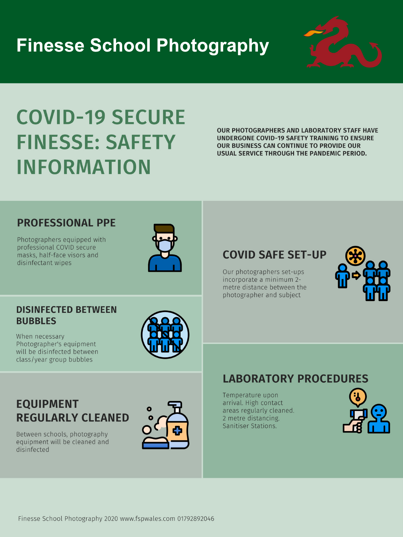# **Finesse School Photography**



# **COVID-19 SECURE FINESSE: SAFETY** INFORMATION

**OUR PHOTOGRAPHERS AND LABORATORY STAFF HAVE UNDERGONE COVID-19 SAFETY TRAINING TO ENSURE OUR BUSINESS CAN CONTINUE TO PROVIDE OUR** USUAL SERVICE THROUGH THE PANDEMIC PERIOD.

### **PROFESSIONAL PPE**

Photographers equipped with professional COVID secure masks, half-face visors and disinfectant wipes



## **COVID SAFE SET-UP**

Our photographers set-ups incorporate a minimum 2-



### **DISINFECTED BETWEEN BUBBLES**

When necessary Photographer's equipment will be disinfected between class/year group bubbles



## **EQUIPMENT REGULARLY CLEANED**

Between schools, photography equipment will be cleaned and disinfected



### metre distance between the photographer and subject

### **LABORATORY PROCEDURES**

Temperature upon arrival. High contact areas regularly cleaned. 2 metre distancing. Sanitiser Stations.



Finesse School Photography 2020 www.fspwales.com 01792892046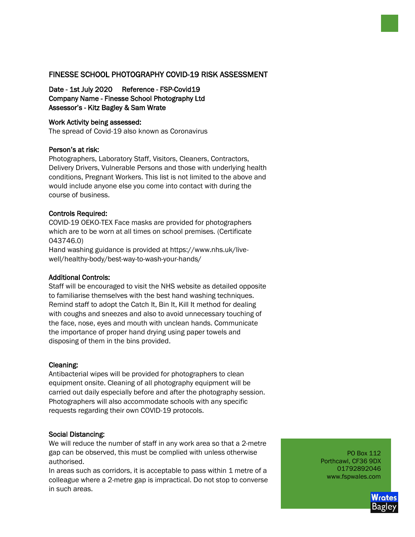#### FINESSE SCHOOL PHOTOGRAPHY COVID-19 RISK ASSESSMENT

Date - 1st July 2020 Reference - FSP-Covid19 Company Name - Finesse School Photography Ltd Assessor's - Kitz Bagley & Sam Wrate

#### Work Activity being assessed:

The spread of Covid-19 also known as Coronavirus

#### Person's at risk:

Photographers, Laboratory Staff, Visitors, Cleaners, Contractors, Delivery Drivers, Vulnerable Persons and those with underlying health conditions, Pregnant Workers. This list is not limited to the above and would include anyone else you come into contact with during the course of business.

#### Controls Required:

COVID-19 OEKO-TEX Face masks are provided for photographers which are to be worn at all times on school premises. (Certificate 043746.0)

Hand washing guidance is provided at https://www.nhs.uk/livewell/healthy-body/best-way-to-wash-your-hands/

#### Additional Controls:

Staff will be encouraged to visit the NHS website as detailed opposite to familiarise themselves with the best hand washing techniques. Remind staff to adopt the Catch It, Bin It, Kill It method for dealing with coughs and sneezes and also to avoid unnecessary touching of the face, nose, eyes and mouth with unclean hands. Communicate the importance of proper hand drying using paper towels and disposing of them in the bins provided.

#### Cleaning:

Antibacterial wipes will be provided for photographers to clean equipment onsite. Cleaning of all photography equipment will be carried out daily especially before and after the photography session. Photographers will also accommodate schools with any specific requests regarding their own COVID-19 protocols.

#### Social Distancing:

We will reduce the number of staff in any work area so that a 2-metre gap can be observed, this must be complied with unless otherwise authorised.

In areas such as corridors, it is acceptable to pass within 1 metre of a colleague where a 2-metre gap is impractical. Do not stop to converse in such areas.

PO Box 112 Porthcawl, CF36 9DX 01792892046 www.fspwales.com

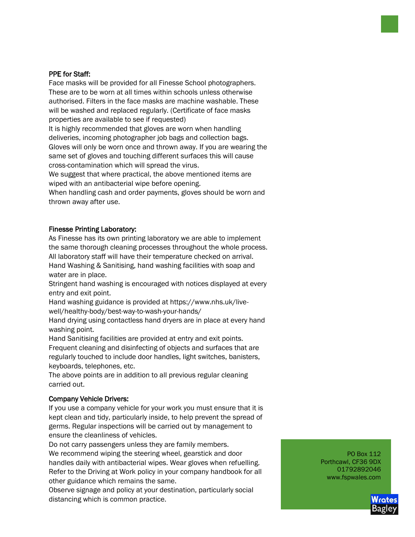#### PPE for Staff:

Face masks will be provided for all Finesse School photographers. These are to be worn at all times within schools unless otherwise authorised. Filters in the face masks are machine washable. These will be washed and replaced regularly. (Certificate of face masks properties are available to see if requested) It is highly recommended that gloves are worn when handling deliveries, incoming photographer job bags and collection bags. Gloves will only be worn once and thrown away. If you are wearing the same set of gloves and touching different surfaces this will cause cross-contamination which will spread the virus. We suggest that where practical, the above mentioned items are wiped with an antibacterial wipe before opening. When handling cash and order payments, gloves should be worn and

thrown away after use.

#### Finesse Printing Laboratory:

As Finesse has its own printing laboratory we are able to implement the same thorough cleaning processes throughout the whole process. All laboratory staff will have their temperature checked on arrival. Hand Washing & Sanitising, hand washing facilities with soap and water are in place.

Stringent hand washing is encouraged with notices displayed at every entry and exit point.

Hand washing guidance is provided at https://www.nhs.uk/livewell/healthy-body/best-way-to-wash-your-hands/

Hand drying using contactless hand dryers are in place at every hand washing point.

Hand Sanitising facilities are provided at entry and exit points. Frequent cleaning and disinfecting of objects and surfaces that are regularly touched to include door handles, light switches, banisters, keyboards, telephones, etc.

The above points are in addition to all previous regular cleaning carried out.

#### Company Vehicle Drivers:

If you use a company vehicle for your work you must ensure that it is kept clean and tidy, particularly inside, to help prevent the spread of germs. Regular inspections will be carried out by management to ensure the cleanliness of vehicles.

Do not carry passengers unless they are family members. We recommend wiping the steering wheel, gearstick and door handles daily with antibacterial wipes. Wear gloves when refuelling. Refer to the Driving at Work policy in your company handbook for all other guidance which remains the same.

Observe signage and policy at your destination, particularly social distancing which is common practice.

PO Box 112 Porthcawl, CF36 9DX 01792892046 www.fspwales.com

Wrate